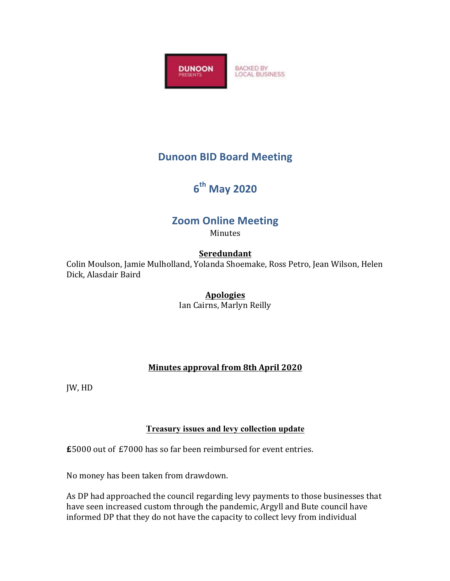

# **Dunoon BID Board Meeting**

# **6th May 2020**

## **Zoom Online Meeting**

Minutes

## **Seredundant**

Colin Moulson, Jamie Mulholland, Yolanda Shoemake, Ross Petro, Jean Wilson, Helen Dick, Alasdair Baird

#### **Apologies**

Ian Cairns, Marlyn Reilly

## **Minutes approval from 8th April 2020**

**JW, HD** 

#### **Treasury issues and levy collection update**

**£**5000 out of £7000 has so far been reimbursed for event entries.

No money has been taken from drawdown.

As DP had approached the council regarding levy payments to those businesses that have seen increased custom through the pandemic, Argyll and Bute council have informed DP that they do not have the capacity to collect levy from individual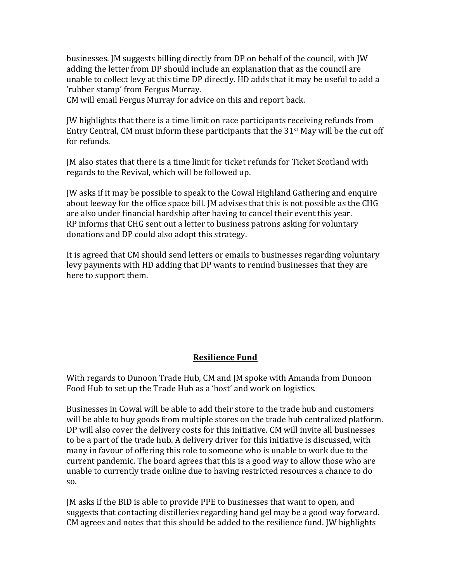businesses. IM suggests billing directly from DP on behalf of the council, with IW adding the letter from DP should include an explanation that as the council are unable to collect levy at this time DP directly. HD adds that it may be useful to add a 'rubber stamp' from Fergus Murray.

CM will email Fergus Murray for advice on this and report back.

JW highlights that there is a time limit on race participants receiving refunds from Entry Central, CM must inform these participants that the  $31<sup>st</sup>$  May will be the cut off for refunds.

IM also states that there is a time limit for ticket refunds for Ticket Scotland with regards to the Revival, which will be followed up.

JW asks if it may be possible to speak to the Cowal Highland Gathering and enquire about leeway for the office space bill. [M advises that this is not possible as the CHG are also under financial hardship after having to cancel their event this year. RP informs that CHG sent out a letter to business patrons asking for voluntary donations and DP could also adopt this strategy.

It is agreed that CM should send letters or emails to businesses regarding voluntary levy payments with HD adding that DP wants to remind businesses that they are here to support them.

#### **Resilience Fund**

With regards to Dunoon Trade Hub, CM and JM spoke with Amanda from Dunoon Food Hub to set up the Trade Hub as a 'host' and work on logistics.

Businesses in Cowal will be able to add their store to the trade hub and customers will be able to buy goods from multiple stores on the trade hub centralized platform. DP will also cover the delivery costs for this initiative. CM will invite all businesses to be a part of the trade hub. A delivery driver for this initiative is discussed, with many in favour of offering this role to someone who is unable to work due to the current pandemic. The board agrees that this is a good way to allow those who are unable to currently trade online due to having restricted resources a chance to do so. 

IM asks if the BID is able to provide PPE to businesses that want to open, and suggests that contacting distilleries regarding hand gel may be a good way forward. CM agrees and notes that this should be added to the resilience fund. JW highlights